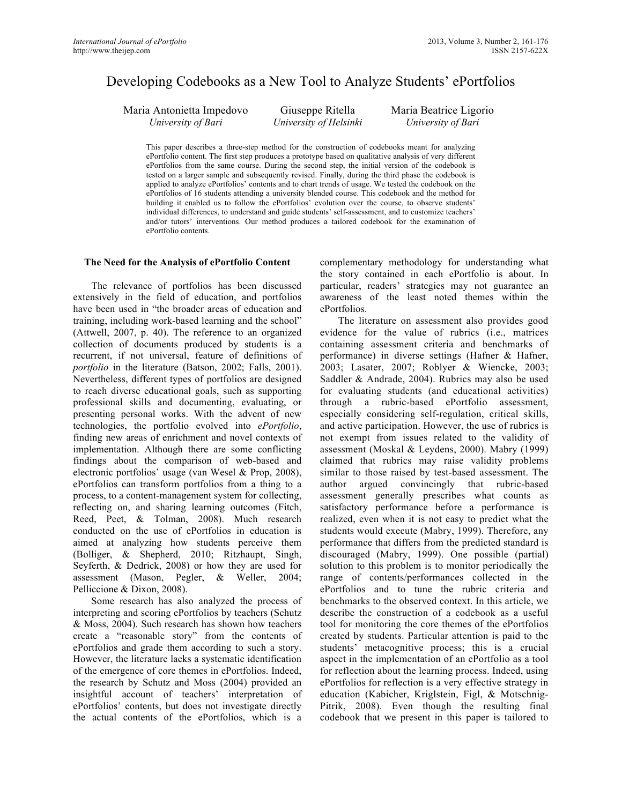# Developing Codebooks as a New Tool to Analyze Students' ePortfolios

Maria Antonietta Impedovo *University of Bari*

Giuseppe Ritella *University of Helsinki*

Maria Beatrice Ligorio *University of Bari*

This paper describes a three-step method for the construction of codebooks meant for analyzing ePortfolio content. The first step produces a prototype based on qualitative analysis of very different ePortfolios from the same course. During the second step, the initial version of the codebook is tested on a larger sample and subsequently revised. Finally, during the third phase the codebook is applied to analyze ePortfolios' contents and to chart trends of usage. We tested the codebook on the ePortfolios of 16 students attending a university blended course. This codebook and the method for building it enabled us to follow the ePortfolios' evolution over the course, to observe students' individual differences, to understand and guide students' self-assessment, and to customize teachers' and/or tutors' interventions. Our method produces a tailored codebook for the examination of ePortfolio contents.

#### **The Need for the Analysis of ePortfolio Content**

The relevance of portfolios has been discussed extensively in the field of education, and portfolios have been used in "the broader areas of education and training, including work-based learning and the school" (Attwell, 2007, p. 40). The reference to an organized collection of documents produced by students is a recurrent, if not universal, feature of definitions of *portfolio* in the literature (Batson, 2002; Falls, 2001). Nevertheless, different types of portfolios are designed to reach diverse educational goals, such as supporting professional skills and documenting, evaluating, or presenting personal works. With the advent of new technologies, the portfolio evolved into *ePortfolio*, finding new areas of enrichment and novel contexts of implementation. Although there are some conflicting findings about the comparison of web-based and electronic portfolios' usage (van Wesel & Prop, 2008), ePortfolios can transform portfolios from a thing to a process, to a content-management system for collecting, reflecting on, and sharing learning outcomes (Fitch, Reed, Peet, & Tolman, 2008). Much research conducted on the use of ePortfolios in education is aimed at analyzing how students perceive them (Bolliger, & Shepherd, 2010; Ritzhaupt, Singh, Seyferth, & Dedrick, 2008) or how they are used for assessment (Mason, Pegler, & Weller, 2004; Pelliccione & Dixon, 2008).

Some research has also analyzed the process of interpreting and scoring ePortfolios by teachers (Schutz & Moss, 2004). Such research has shown how teachers create a "reasonable story" from the contents of ePortfolios and grade them according to such a story. However, the literature lacks a systematic identification of the emergence of core themes in ePortfolios. Indeed, the research by Schutz and Moss (2004) provided an insightful account of teachers' interpretation of ePortfolios' contents, but does not investigate directly the actual contents of the ePortfolios, which is a

complementary methodology for understanding what the story contained in each ePortfolio is about. In particular, readers' strategies may not guarantee an awareness of the least noted themes within the ePortfolios.

The literature on assessment also provides good evidence for the value of rubrics (i.e., matrices containing assessment criteria and benchmarks of performance) in diverse settings (Hafner & Hafner, 2003; Lasater, 2007; Roblyer & Wiencke, 2003; Saddler & Andrade, 2004). Rubrics may also be used for evaluating students (and educational activities) through a rubric-based ePortfolio assessment, especially considering self-regulation, critical skills, and active participation. However, the use of rubrics is not exempt from issues related to the validity of assessment (Moskal & Leydens, 2000). Mabry (1999) claimed that rubrics may raise validity problems similar to those raised by test-based assessment. The author argued convincingly that rubric-based assessment generally prescribes what counts as satisfactory performance before a performance is realized, even when it is not easy to predict what the students would execute (Mabry, 1999). Therefore, any performance that differs from the predicted standard is discouraged (Mabry, 1999). One possible (partial) solution to this problem is to monitor periodically the range of contents/performances collected in the ePortfolios and to tune the rubric criteria and benchmarks to the observed context. In this article, we describe the construction of a codebook as a useful tool for monitoring the core themes of the ePortfolios created by students. Particular attention is paid to the students' metacognitive process; this is a crucial aspect in the implementation of an ePortfolio as a tool for reflection about the learning process. Indeed, using ePortfolios for reflection is a very effective strategy in education (Kabicher, Kriglstein, Figl, & Motschnig-Pitrik, 2008). Even though the resulting final codebook that we present in this paper is tailored to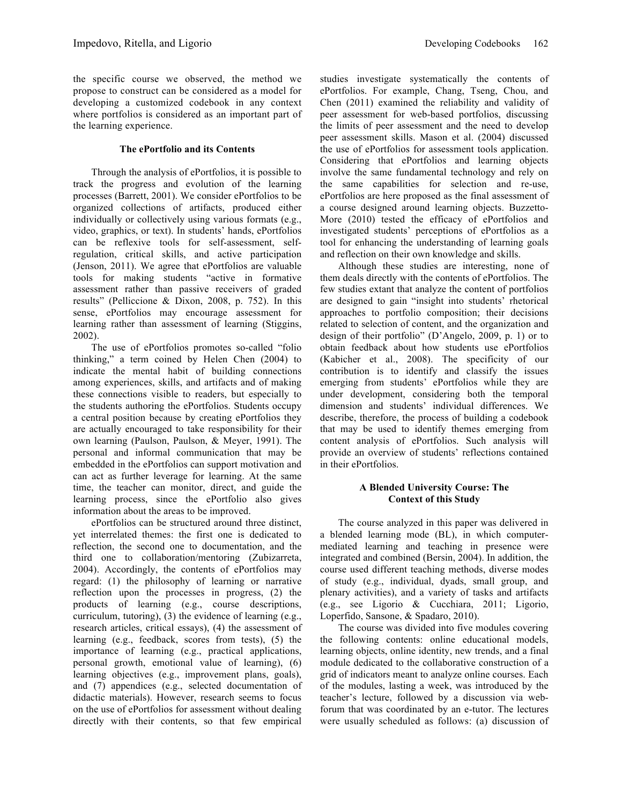# **The ePortfolio and its Contents**

Through the analysis of ePortfolios, it is possible to track the progress and evolution of the learning processes (Barrett, 2001). We consider ePortfolios to be organized collections of artifacts, produced either individually or collectively using various formats (e.g., video, graphics, or text). In students' hands, ePortfolios can be reflexive tools for self-assessment, selfregulation, critical skills, and active participation (Jenson, 2011). We agree that ePortfolios are valuable tools for making students "active in formative assessment rather than passive receivers of graded results" (Pelliccione & Dixon, 2008, p. 752). In this sense, ePortfolios may encourage assessment for learning rather than assessment of learning (Stiggins, 2002).

The use of ePortfolios promotes so-called "folio thinking," a term coined by Helen Chen (2004) to indicate the mental habit of building connections among experiences, skills, and artifacts and of making these connections visible to readers, but especially to the students authoring the ePortfolios. Students occupy a central position because by creating ePortfolios they are actually encouraged to take responsibility for their own learning (Paulson, Paulson, & Meyer, 1991). The personal and informal communication that may be embedded in the ePortfolios can support motivation and can act as further leverage for learning. At the same time, the teacher can monitor, direct, and guide the learning process, since the ePortfolio also gives information about the areas to be improved.

ePortfolios can be structured around three distinct, yet interrelated themes: the first one is dedicated to reflection, the second one to documentation, and the third one to collaboration/mentoring (Zubizarreta, 2004). Accordingly, the contents of ePortfolios may regard: (1) the philosophy of learning or narrative reflection upon the processes in progress, (2) the products of learning (e.g., course descriptions, curriculum, tutoring), (3) the evidence of learning (e.g., research articles, critical essays), (4) the assessment of learning (e.g., feedback, scores from tests), (5) the importance of learning (e.g., practical applications, personal growth, emotional value of learning), (6) learning objectives (e.g., improvement plans, goals), and (7) appendices (e.g., selected documentation of didactic materials). However, research seems to focus on the use of ePortfolios for assessment without dealing directly with their contents, so that few empirical

studies investigate systematically the contents of ePortfolios. For example, Chang, Tseng, Chou, and Chen (2011) examined the reliability and validity of peer assessment for web-based portfolios, discussing the limits of peer assessment and the need to develop peer assessment skills. Mason et al. (2004) discussed the use of ePortfolios for assessment tools application. Considering that ePortfolios and learning objects involve the same fundamental technology and rely on the same capabilities for selection and re-use, ePortfolios are here proposed as the final assessment of a course designed around learning objects. Buzzetto-More (2010) tested the efficacy of ePortfolios and investigated students' perceptions of ePortfolios as a tool for enhancing the understanding of learning goals and reflection on their own knowledge and skills.

Although these studies are interesting, none of them deals directly with the contents of ePortfolios. The few studies extant that analyze the content of portfolios are designed to gain "insight into students' rhetorical approaches to portfolio composition; their decisions related to selection of content, and the organization and design of their portfolio" (D'Angelo, 2009, p. 1) or to obtain feedback about how students use ePortfolios (Kabicher et al., 2008). The specificity of our contribution is to identify and classify the issues emerging from students' ePortfolios while they are under development, considering both the temporal dimension and students' individual differences. We describe, therefore, the process of building a codebook that may be used to identify themes emerging from content analysis of ePortfolios. Such analysis will provide an overview of students' reflections contained in their ePortfolios.

### **A Blended University Course: The Context of this Study**

The course analyzed in this paper was delivered in a blended learning mode (BL), in which computermediated learning and teaching in presence were integrated and combined (Bersin, 2004). In addition, the course used different teaching methods, diverse modes of study (e.g., individual, dyads, small group, and plenary activities), and a variety of tasks and artifacts (e.g., see Ligorio & Cucchiara, 2011; Ligorio, Loperfido, Sansone, & Spadaro, 2010).

The course was divided into five modules covering the following contents: online educational models, learning objects, online identity, new trends, and a final module dedicated to the collaborative construction of a grid of indicators meant to analyze online courses. Each of the modules, lasting a week, was introduced by the teacher's lecture, followed by a discussion via webforum that was coordinated by an e-tutor. The lectures were usually scheduled as follows: (a) discussion of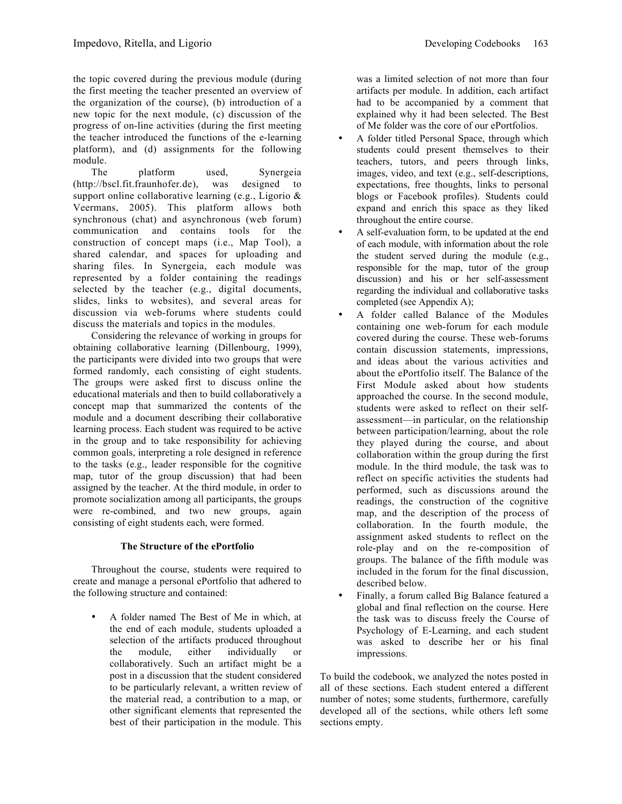the topic covered during the previous module (during the first meeting the teacher presented an overview of the organization of the course), (b) introduction of a new topic for the next module, (c) discussion of the progress of on-line activities (during the first meeting the teacher introduced the functions of the e-learning platform), and (d) assignments for the following module.

The platform used, Synergeia (http://bscl.fit.fraunhofer.de), was designed to support online collaborative learning (e.g., Ligorio & Veermans, 2005). This platform allows both synchronous (chat) and asynchronous (web forum) communication and contains tools for the construction of concept maps (i.e., Map Tool), a shared calendar, and spaces for uploading and sharing files. In Synergeia, each module was represented by a folder containing the readings selected by the teacher (e.g., digital documents, slides, links to websites), and several areas for discussion via web-forums where students could discuss the materials and topics in the modules.

Considering the relevance of working in groups for obtaining collaborative learning (Dillenbourg, 1999), the participants were divided into two groups that were formed randomly, each consisting of eight students. The groups were asked first to discuss online the educational materials and then to build collaboratively a concept map that summarized the contents of the module and a document describing their collaborative learning process. Each student was required to be active in the group and to take responsibility for achieving common goals, interpreting a role designed in reference to the tasks (e.g., leader responsible for the cognitive map, tutor of the group discussion) that had been assigned by the teacher. At the third module, in order to promote socialization among all participants, the groups were re-combined, and two new groups, again consisting of eight students each, were formed.

# **The Structure of the ePortfolio**

Throughout the course, students were required to create and manage a personal ePortfolio that adhered to the following structure and contained:

• A folder named The Best of Me in which, at the end of each module, students uploaded a selection of the artifacts produced throughout the module, either individually or collaboratively. Such an artifact might be a post in a discussion that the student considered to be particularly relevant, a written review of the material read, a contribution to a map, or other significant elements that represented the best of their participation in the module. This

was a limited selection of not more than four artifacts per module. In addition, each artifact had to be accompanied by a comment that explained why it had been selected. The Best of Me folder was the core of our ePortfolios.

- A folder titled Personal Space, through which students could present themselves to their teachers, tutors, and peers through links, images, video, and text (e.g., self-descriptions, expectations, free thoughts, links to personal blogs or Facebook profiles). Students could expand and enrich this space as they liked throughout the entire course.
- A self-evaluation form, to be updated at the end of each module, with information about the role the student served during the module (e.g., responsible for the map, tutor of the group discussion) and his or her self-assessment regarding the individual and collaborative tasks completed (see Appendix A);
- A folder called Balance of the Modules containing one web-forum for each module covered during the course. These web-forums contain discussion statements, impressions, and ideas about the various activities and about the ePortfolio itself. The Balance of the First Module asked about how students approached the course. In the second module, students were asked to reflect on their selfassessment—in particular, on the relationship between participation/learning, about the role they played during the course, and about collaboration within the group during the first module. In the third module, the task was to reflect on specific activities the students had performed, such as discussions around the readings, the construction of the cognitive map, and the description of the process of collaboration. In the fourth module, the assignment asked students to reflect on the role-play and on the re-composition of groups. The balance of the fifth module was included in the forum for the final discussion, described below.
- Finally, a forum called Big Balance featured a global and final reflection on the course. Here the task was to discuss freely the Course of Psychology of E-Learning, and each student was asked to describe her or his final impressions.

To build the codebook, we analyzed the notes posted in all of these sections. Each student entered a different number of notes; some students, furthermore, carefully developed all of the sections, while others left some sections empty.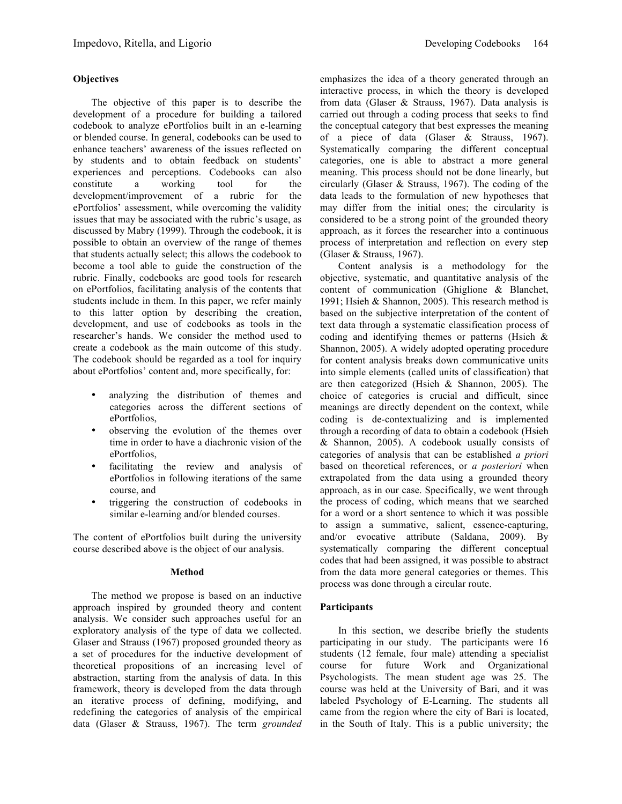# **Objectives**

The objective of this paper is to describe the development of a procedure for building a tailored codebook to analyze ePortfolios built in an e-learning or blended course. In general, codebooks can be used to enhance teachers' awareness of the issues reflected on by students and to obtain feedback on students' experiences and perceptions. Codebooks can also constitute a working tool for the development/improvement of a rubric for the ePortfolios' assessment, while overcoming the validity issues that may be associated with the rubric's usage, as discussed by Mabry (1999). Through the codebook, it is possible to obtain an overview of the range of themes that students actually select; this allows the codebook to become a tool able to guide the construction of the rubric. Finally, codebooks are good tools for research on ePortfolios, facilitating analysis of the contents that students include in them. In this paper, we refer mainly to this latter option by describing the creation, development, and use of codebooks as tools in the researcher's hands. We consider the method used to create a codebook as the main outcome of this study. The codebook should be regarded as a tool for inquiry about ePortfolios' content and, more specifically, for:

- analyzing the distribution of themes and categories across the different sections of ePortfolios,
- observing the evolution of the themes over time in order to have a diachronic vision of the ePortfolios,
- facilitating the review and analysis of ePortfolios in following iterations of the same course, and
- triggering the construction of codebooks in similar e-learning and/or blended courses.

The content of ePortfolios built during the university course described above is the object of our analysis.

#### **Method**

The method we propose is based on an inductive approach inspired by grounded theory and content analysis. We consider such approaches useful for an exploratory analysis of the type of data we collected. Glaser and Strauss (1967) proposed grounded theory as a set of procedures for the inductive development of theoretical propositions of an increasing level of abstraction, starting from the analysis of data. In this framework, theory is developed from the data through an iterative process of defining, modifying, and redefining the categories of analysis of the empirical data (Glaser & Strauss, 1967). The term *grounded*  emphasizes the idea of a theory generated through an interactive process, in which the theory is developed from data (Glaser & Strauss, 1967). Data analysis is carried out through a coding process that seeks to find the conceptual category that best expresses the meaning of a piece of data (Glaser & Strauss, 1967). Systematically comparing the different conceptual categories, one is able to abstract a more general meaning. This process should not be done linearly, but circularly (Glaser & Strauss, 1967). The coding of the data leads to the formulation of new hypotheses that may differ from the initial ones; the circularity is considered to be a strong point of the grounded theory approach, as it forces the researcher into a continuous process of interpretation and reflection on every step (Glaser & Strauss, 1967).

Content analysis is a methodology for the objective, systematic, and quantitative analysis of the content of communication (Ghiglione & Blanchet, 1991; Hsieh & Shannon, 2005). This research method is based on the subjective interpretation of the content of text data through a systematic classification process of coding and identifying themes or patterns (Hsieh & Shannon, 2005). A widely adopted operating procedure for content analysis breaks down communicative units into simple elements (called units of classification) that are then categorized (Hsieh & Shannon, 2005). The choice of categories is crucial and difficult, since meanings are directly dependent on the context, while coding is de-contextualizing and is implemented through a recording of data to obtain a codebook (Hsieh & Shannon, 2005). A codebook usually consists of categories of analysis that can be established *a priori* based on theoretical references, or *a posteriori* when extrapolated from the data using a grounded theory approach, as in our case. Specifically, we went through the process of coding, which means that we searched for a word or a short sentence to which it was possible to assign a summative, salient, essence-capturing, and/or evocative attribute (Saldana, 2009). By systematically comparing the different conceptual codes that had been assigned, it was possible to abstract from the data more general categories or themes. This process was done through a circular route.

# **Participants**

In this section, we describe briefly the students participating in our study. The participants were 16 students (12 female, four male) attending a specialist course for future Work and Organizational Psychologists. The mean student age was 25. The course was held at the University of Bari, and it was labeled Psychology of E-Learning. The students all came from the region where the city of Bari is located, in the South of Italy. This is a public university; the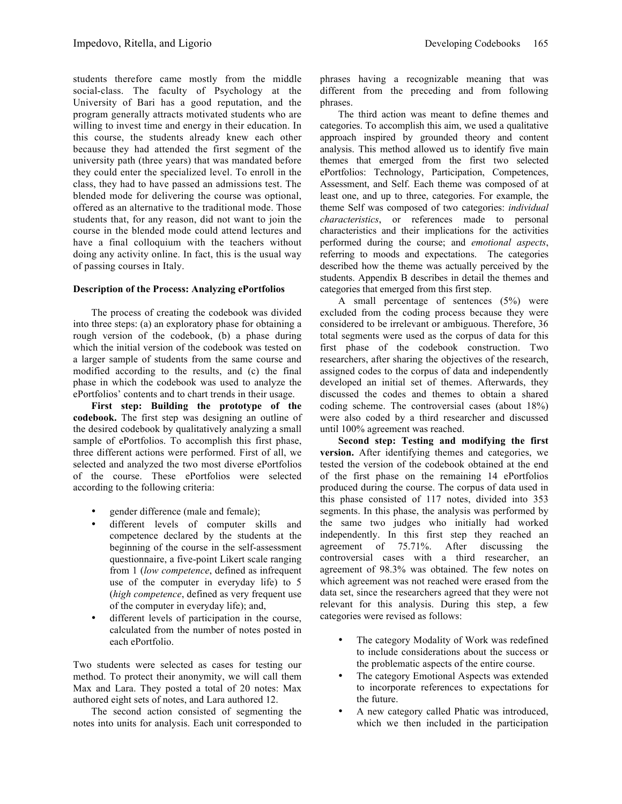students therefore came mostly from the middle social-class. The faculty of Psychology at the University of Bari has a good reputation, and the program generally attracts motivated students who are willing to invest time and energy in their education. In this course, the students already knew each other because they had attended the first segment of the university path (three years) that was mandated before they could enter the specialized level. To enroll in the class, they had to have passed an admissions test. The blended mode for delivering the course was optional, offered as an alternative to the traditional mode. Those students that, for any reason, did not want to join the course in the blended mode could attend lectures and have a final colloquium with the teachers without doing any activity online. In fact, this is the usual way of passing courses in Italy.

#### **Description of the Process: Analyzing ePortfolios**

The process of creating the codebook was divided into three steps: (a) an exploratory phase for obtaining a rough version of the codebook, (b) a phase during which the initial version of the codebook was tested on a larger sample of students from the same course and modified according to the results, and (c) the final phase in which the codebook was used to analyze the ePortfolios' contents and to chart trends in their usage.

**First step: Building the prototype of the codebook.** The first step was designing an outline of the desired codebook by qualitatively analyzing a small sample of ePortfolios. To accomplish this first phase, three different actions were performed. First of all, we selected and analyzed the two most diverse ePortfolios of the course. These ePortfolios were selected according to the following criteria:

- gender difference (male and female);
- different levels of computer skills and competence declared by the students at the beginning of the course in the self-assessment questionnaire, a five-point Likert scale ranging from 1 (*low competence*, defined as infrequent use of the computer in everyday life) to 5 (*high competence*, defined as very frequent use of the computer in everyday life); and,
- different levels of participation in the course, calculated from the number of notes posted in each ePortfolio.

Two students were selected as cases for testing our method. To protect their anonymity, we will call them Max and Lara. They posted a total of 20 notes: Max authored eight sets of notes, and Lara authored 12.

The second action consisted of segmenting the notes into units for analysis. Each unit corresponded to phrases having a recognizable meaning that was different from the preceding and from following phrases.

The third action was meant to define themes and categories. To accomplish this aim, we used a qualitative approach inspired by grounded theory and content analysis. This method allowed us to identify five main themes that emerged from the first two selected ePortfolios: Technology, Participation, Competences, Assessment, and Self. Each theme was composed of at least one, and up to three, categories. For example, the theme Self was composed of two categories: *individual characteristics*, or references made to personal characteristics and their implications for the activities performed during the course; and *emotional aspects*, referring to moods and expectations. The categories described how the theme was actually perceived by the students. Appendix B describes in detail the themes and categories that emerged from this first step.

A small percentage of sentences (5%) were excluded from the coding process because they were considered to be irrelevant or ambiguous. Therefore, 36 total segments were used as the corpus of data for this first phase of the codebook construction. Two researchers, after sharing the objectives of the research, assigned codes to the corpus of data and independently developed an initial set of themes. Afterwards, they discussed the codes and themes to obtain a shared coding scheme. The controversial cases (about 18%) were also coded by a third researcher and discussed until 100% agreement was reached.

**Second step: Testing and modifying the first version.** After identifying themes and categories, we tested the version of the codebook obtained at the end of the first phase on the remaining 14 ePortfolios produced during the course. The corpus of data used in this phase consisted of 117 notes, divided into 353 segments. In this phase, the analysis was performed by the same two judges who initially had worked independently. In this first step they reached an agreement of 75.71%. After discussing the controversial cases with a third researcher, an agreement of 98.3% was obtained. The few notes on which agreement was not reached were erased from the data set, since the researchers agreed that they were not relevant for this analysis. During this step, a few categories were revised as follows:

- The category Modality of Work was redefined to include considerations about the success or the problematic aspects of the entire course.
- The category Emotional Aspects was extended to incorporate references to expectations for the future.
- A new category called Phatic was introduced, which we then included in the participation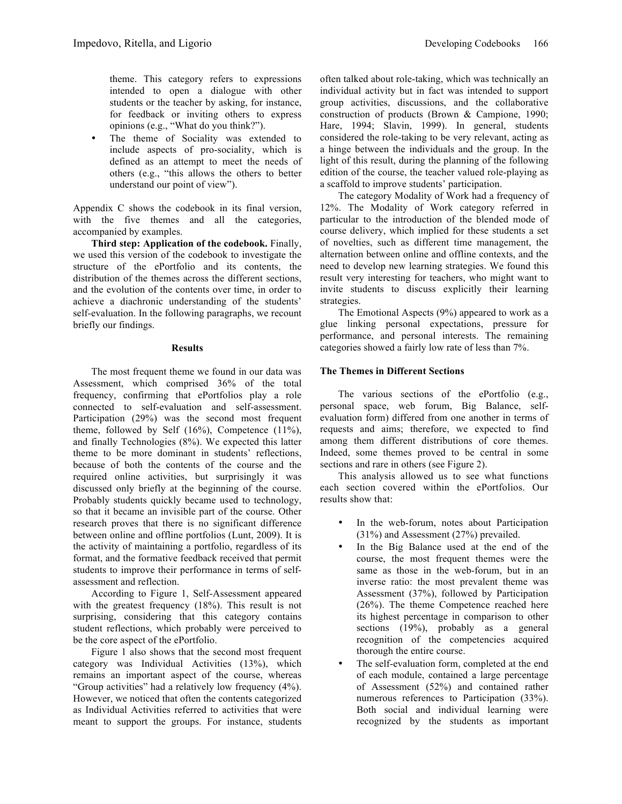The theme of Sociality was extended to include aspects of pro-sociality, which is defined as an attempt to meet the needs of others (e.g., "this allows the others to better understand our point of view").

Appendix C shows the codebook in its final version, with the five themes and all the categories, accompanied by examples.

**Third step: Application of the codebook.** Finally, we used this version of the codebook to investigate the structure of the ePortfolio and its contents, the distribution of the themes across the different sections, and the evolution of the contents over time, in order to achieve a diachronic understanding of the students' self-evaluation. In the following paragraphs, we recount briefly our findings.

#### **Results**

The most frequent theme we found in our data was Assessment, which comprised 36% of the total frequency, confirming that ePortfolios play a role connected to self-evaluation and self-assessment. Participation (29%) was the second most frequent theme, followed by Self (16%), Competence (11%), and finally Technologies (8%). We expected this latter theme to be more dominant in students' reflections, because of both the contents of the course and the required online activities, but surprisingly it was discussed only briefly at the beginning of the course. Probably students quickly became used to technology, so that it became an invisible part of the course. Other research proves that there is no significant difference between online and offline portfolios (Lunt, 2009). It is the activity of maintaining a portfolio, regardless of its format, and the formative feedback received that permit students to improve their performance in terms of selfassessment and reflection.

According to Figure 1, Self-Assessment appeared with the greatest frequency (18%). This result is not surprising, considering that this category contains student reflections, which probably were perceived to be the core aspect of the ePortfolio.

Figure 1 also shows that the second most frequent category was Individual Activities (13%), which remains an important aspect of the course, whereas "Group activities" had a relatively low frequency (4%). However, we noticed that often the contents categorized as Individual Activities referred to activities that were meant to support the groups. For instance, students often talked about role-taking, which was technically an individual activity but in fact was intended to support group activities, discussions, and the collaborative construction of products (Brown & Campione, 1990; Hare, 1994; Slavin, 1999). In general, students considered the role-taking to be very relevant, acting as a hinge between the individuals and the group. In the light of this result, during the planning of the following edition of the course, the teacher valued role-playing as a scaffold to improve students' participation.

The category Modality of Work had a frequency of 12%. The Modality of Work category referred in particular to the introduction of the blended mode of course delivery, which implied for these students a set of novelties, such as different time management, the alternation between online and offline contexts, and the need to develop new learning strategies. We found this result very interesting for teachers, who might want to invite students to discuss explicitly their learning strategies.

The Emotional Aspects (9%) appeared to work as a glue linking personal expectations, pressure for performance, and personal interests. The remaining categories showed a fairly low rate of less than 7%.

# **The Themes in Different Sections**

The various sections of the ePortfolio (e.g., personal space, web forum, Big Balance, selfevaluation form) differed from one another in terms of requests and aims; therefore, we expected to find among them different distributions of core themes. Indeed, some themes proved to be central in some sections and rare in others (see Figure 2).

This analysis allowed us to see what functions each section covered within the ePortfolios. Our results show that:

- In the web-forum, notes about Participation (31%) and Assessment (27%) prevailed.
- In the Big Balance used at the end of the course, the most frequent themes were the same as those in the web-forum, but in an inverse ratio: the most prevalent theme was Assessment (37%), followed by Participation (26%). The theme Competence reached here its highest percentage in comparison to other sections (19%), probably as a general recognition of the competencies acquired thorough the entire course.
- The self-evaluation form, completed at the end of each module, contained a large percentage of Assessment (52%) and contained rather numerous references to Participation (33%). Both social and individual learning were recognized by the students as important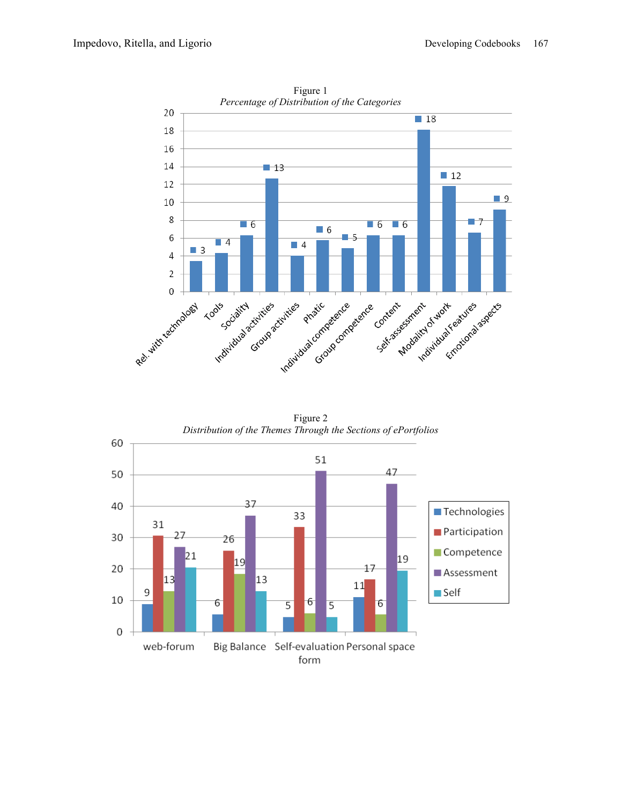

Figure 1

Figure 2 *Distribution of the Themes Through the Sections of ePortfolios*



form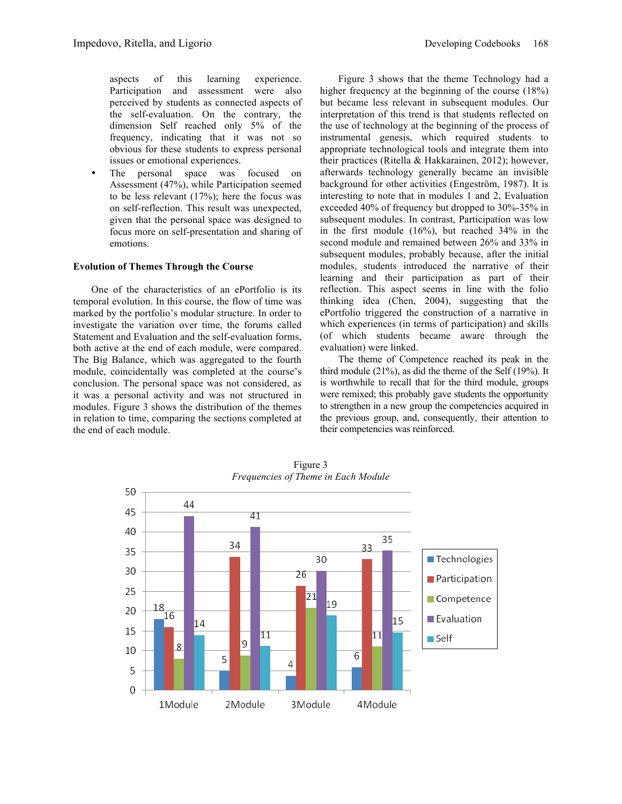aspects of this learning experience. Participation and assessment were also perceived by students as connected aspects of the self-evaluation. On the contrary, the dimension Self reached only 5% of the frequency, indicating that it was not so obvious for these students to express personal issues or emotional experiences.

The personal space was focused on Assessment (47%), while Participation seemed to be less relevant (17%); here the focus was on self-reflection. This result was unexpected, given that the personal space was designed to focus more on self-presentation and sharing of emotions.

### **Evolution of Themes Through the Course**

One of the characteristics of an ePortfolio is its temporal evolution. In this course, the flow of time was marked by the portfolio's modular structure. In order to investigate the variation over time, the forums called Statement and Evaluation and the self-evaluation forms, both active at the end of each module, were compared. The Big Balance, which was aggregated to the fourth module, coincidentally was completed at the course's conclusion. The personal space was not considered, as it was a personal activity and was not structured in modules. Figure 3 shows the distribution of the themes in relation to time, comparing the sections completed at the end of each module.

higher frequency at the beginning of the course (18%) but became less relevant in subsequent modules. Our interpretation of this trend is that students reflected on the use of technology at the beginning of the process of instrumental genesis, which required students to appropriate technological tools and integrate them into their practices (Ritella & Hakkarainen, 2012); however, afterwards technology generally became an invisible background for other activities (Engeström, 1987). It is interesting to note that in modules 1 and 2, Evaluation exceeded 40% of frequency but dropped to 30%-35% in subsequent modules. In contrast, Participation was low in the first module (16%), but reached 34% in the second module and remained between 26% and 33% in subsequent modules, probably because, after the initial modules, students introduced the narrative of their learning and their participation as part of their reflection. This aspect seems in line with the folio thinking idea (Chen, 2004), suggesting that the ePortfolio triggered the construction of a narrative in which experiences (in terms of participation) and skills (of which students became aware through the evaluation) were linked.

The theme of Competence reached its peak in the third module (21%), as did the theme of the Self (19%). It is worthwhile to recall that for the third module, groups were remixed; this probably gave students the opportunity to strengthen in a new group the competencies acquired in the previous group, and, consequently, their attention to their competencies was reinforced.



Figure 3 *Frequencies of Theme in Each Module*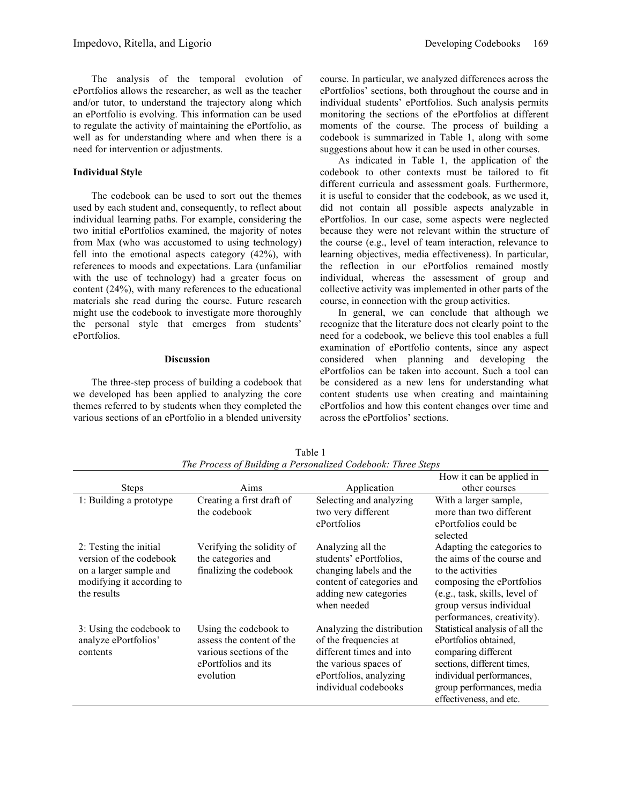The analysis of the temporal evolution of ePortfolios allows the researcher, as well as the teacher and/or tutor, to understand the trajectory along which an ePortfolio is evolving. This information can be used to regulate the activity of maintaining the ePortfolio, as well as for understanding where and when there is a need for intervention or adjustments.

### **Individual Style**

The codebook can be used to sort out the themes used by each student and, consequently, to reflect about individual learning paths. For example, considering the two initial ePortfolios examined, the majority of notes from Max (who was accustomed to using technology) fell into the emotional aspects category (42%), with references to moods and expectations. Lara (unfamiliar with the use of technology) had a greater focus on content (24%), with many references to the educational materials she read during the course. Future research might use the codebook to investigate more thoroughly the personal style that emerges from students' ePortfolios.

#### **Discussion**

The three-step process of building a codebook that we developed has been applied to analyzing the core themes referred to by students when they completed the various sections of an ePortfolio in a blended university

course. In particular, we analyzed differences across the ePortfolios' sections, both throughout the course and in individual students' ePortfolios. Such analysis permits monitoring the sections of the ePortfolios at different moments of the course. The process of building a codebook is summarized in Table 1, along with some suggestions about how it can be used in other courses.

As indicated in Table 1, the application of the codebook to other contexts must be tailored to fit different curricula and assessment goals. Furthermore, it is useful to consider that the codebook, as we used it, did not contain all possible aspects analyzable in ePortfolios. In our case, some aspects were neglected because they were not relevant within the structure of the course (e.g., level of team interaction, relevance to learning objectives, media effectiveness). In particular, the reflection in our ePortfolios remained mostly individual, whereas the assessment of group and collective activity was implemented in other parts of the course, in connection with the group activities.

In general, we can conclude that although we recognize that the literature does not clearly point to the need for a codebook, we believe this tool enables a full examination of ePortfolio contents, since any aspect considered when planning and developing the ePortfolios can be taken into account. Such a tool can be considered as a new lens for understanding what content students use when creating and maintaining ePortfolios and how this content changes over time and across the ePortfolios' sections.

|                                                                                                                         |                                                                                                                   |                                                                                                                                                            | How it can be applied in                                                                                                                                                                             |
|-------------------------------------------------------------------------------------------------------------------------|-------------------------------------------------------------------------------------------------------------------|------------------------------------------------------------------------------------------------------------------------------------------------------------|------------------------------------------------------------------------------------------------------------------------------------------------------------------------------------------------------|
| <b>Steps</b>                                                                                                            | Aims                                                                                                              | Application                                                                                                                                                | other courses                                                                                                                                                                                        |
| 1: Building a prototype                                                                                                 | Creating a first draft of<br>the codebook                                                                         | Selecting and analyzing<br>two very different<br>ePortfolios                                                                                               | With a larger sample,<br>more than two different<br>ePortfolios could be<br>selected                                                                                                                 |
| 2: Testing the initial<br>version of the codebook<br>on a larger sample and<br>modifying it according to<br>the results | Verifying the solidity of<br>the categories and<br>finalizing the codebook                                        | Analyzing all the<br>students' ePortfolios,<br>changing labels and the<br>content of categories and<br>adding new categories<br>when needed                | Adapting the categories to<br>the aims of the course and<br>to the activities<br>composing the ePortfolios<br>(e.g., task, skills, level of<br>group versus individual<br>performances, creativity). |
| 3: Using the codebook to<br>analyze ePortfolios'<br>contents                                                            | Using the codebook to<br>assess the content of the<br>various sections of the<br>ePortfolios and its<br>evolution | Analyzing the distribution<br>of the frequencies at<br>different times and into<br>the various spaces of<br>ePortfolios, analyzing<br>individual codebooks | Statistical analysis of all the<br>ePortfolios obtained,<br>comparing different<br>sections, different times,<br>individual performances,<br>group performances, media<br>effectiveness, and etc.    |

Table 1 *The Process of Building a Personalized Codebook: Three Steps*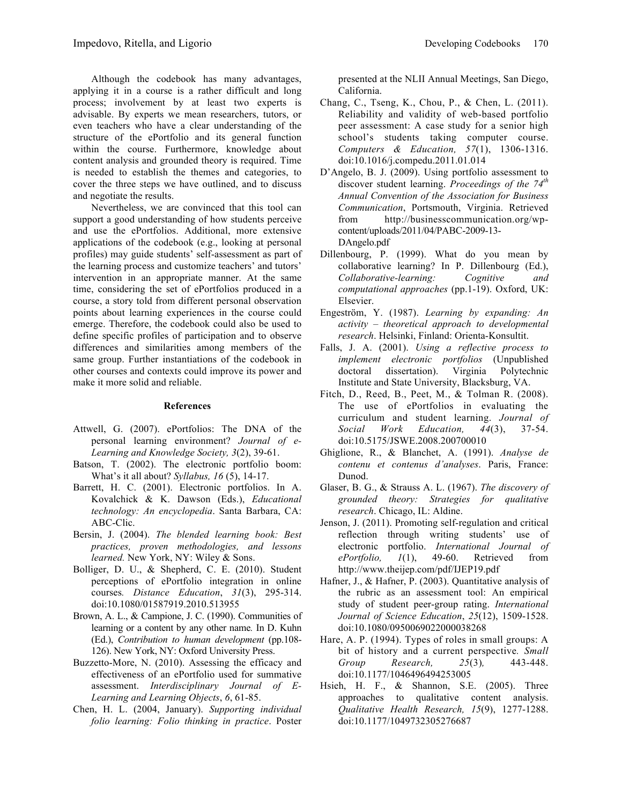Although the codebook has many advantages, applying it in a course is a rather difficult and long process; involvement by at least two experts is advisable. By experts we mean researchers, tutors, or even teachers who have a clear understanding of the structure of the ePortfolio and its general function within the course. Furthermore, knowledge about content analysis and grounded theory is required. Time is needed to establish the themes and categories, to cover the three steps we have outlined, and to discuss and negotiate the results.

Nevertheless, we are convinced that this tool can support a good understanding of how students perceive and use the ePortfolios. Additional, more extensive applications of the codebook (e.g., looking at personal profiles) may guide students' self-assessment as part of the learning process and customize teachers' and tutors' intervention in an appropriate manner. At the same time, considering the set of ePortfolios produced in a course, a story told from different personal observation points about learning experiences in the course could emerge. Therefore, the codebook could also be used to define specific profiles of participation and to observe differences and similarities among members of the same group. Further instantiations of the codebook in other courses and contexts could improve its power and make it more solid and reliable.

#### **References**

- Attwell, G. (2007). ePortfolios: The DNA of the personal learning environment? *Journal of e-Learning and Knowledge Society, 3*(2), 39-61.
- Batson, T. (2002). The electronic portfolio boom: What's it all about? *Syllabus, 16* (5), 14-17.
- Barrett, H. C. (2001). Electronic portfolios. In A. Kovalchick & K. Dawson (Eds.), *Educational technology: An encyclopedia*. Santa Barbara, CA: ABC-Clic.
- Bersin, J. (2004). *The blended learning book: Best practices, proven methodologies, and lessons learned.* New York, NY: Wiley & Sons.
- Bolliger, D. U., & Shepherd, C. E. (2010). Student perceptions of ePortfolio integration in online courses*. Distance Education*, *31*(3), 295-314. doi:10.1080/01587919.2010.513955
- Brown, A. L., & Campione, J. C. (1990). Communities of learning or a content by any other name*.* In D. Kuhn (Ed.), *Contribution to human development* (pp.108- 126). New York, NY: Oxford University Press.
- Buzzetto-More, N. (2010). Assessing the efficacy and effectiveness of an ePortfolio used for summative assessment. *Interdisciplinary Journal of E-Learning and Learning Objects*, *6*, 61-85.
- Chen, H. L. (2004, January). *Supporting individual folio learning: Folio thinking in practice*. Poster

presented at the NLII Annual Meetings, San Diego, California.

- Chang, C., Tseng, K., Chou, P., & Chen, L. (2011). Reliability and validity of web-based portfolio peer assessment: A case study for a senior high school's students taking computer course. *Computers & Education, 57*(1), 1306-1316. doi:10.1016/j.compedu.2011.01.014
- D'Angelo, B. J. (2009). Using portfolio assessment to discover student learning. *Proceedings of the 74th Annual Convention of the Association for Business Communication*, Portsmouth, Virginia. Retrieved from http://businesscommunication.org/wpcontent/uploads/2011/04/PABC-2009-13- DAngelo.pdf
- Dillenbourg, P. (1999). What do you mean by collaborative learning? In P. Dillenbourg (Ed.), *Collaborative-learning: Cognitive and computational approaches* (pp.1-19). Oxford, UK: Elsevier.
- Engeström, Y. (1987). *Learning by expanding: An activity ‒ theoretical approach to developmental research*. Helsinki, Finland: Orienta-Konsultit.
- Falls, J. A. (2001). *Using a reflective process to implement electronic portfolios* (Unpublished doctoral dissertation). Virginia Polytechnic Institute and State University, Blacksburg, VA.
- Fitch, D., Reed, B., Peet, M., & Tolman R. (2008). The use of ePortfolios in evaluating the curriculum and student learning. *Journal of Social Work Education, 44*(3), 37-54. doi:10.5175/JSWE.2008.200700010
- Ghiglione, R., & Blanchet, A. (1991). *Analyse de contenu et contenus d'analyses*. Paris, France: Dunod.
- Glaser, B. G., & Strauss A. L. (1967). *The discovery of grounded theory: Strategies for qualitative research*. Chicago, IL: Aldine.
- Jenson, J. (2011). Promoting self-regulation and critical reflection through writing students' use of electronic portfolio. *International Journal of ePortfolio, 1*(1), 49-60. Retrieved from http://www.theijep.com/pdf/IJEP19.pdf
- Hafner, J., & Hafner, P. (2003). Quantitative analysis of the rubric as an assessment tool: An empirical study of student peer-group rating. *International Journal of Science Education*, *25*(12), 1509-1528. doi:10.1080/0950069022000038268
- Hare, A. P. (1994). Types of roles in small groups: A bit of history and a current perspective*. Small Group Research, 25*(3)*,* 443-448. doi:10.1177/1046496494253005
- Hsieh, H. F., & Shannon, S.E. (2005). Three approaches to qualitative content analysis. *Qualitative Health Research, 15*(9), 1277-1288. doi:10.1177/1049732305276687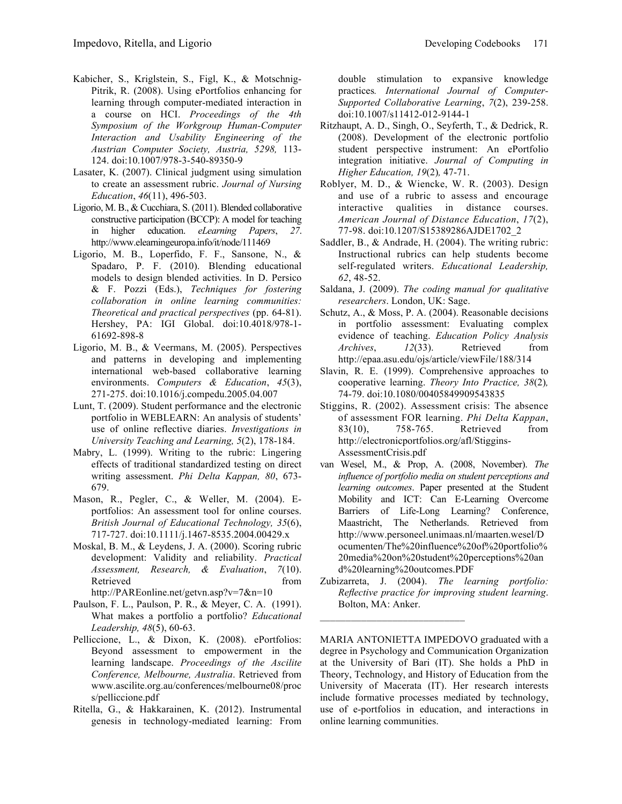- Kabicher, S., Kriglstein, S., Figl, K., & Motschnig-Pitrik, R. (2008). Using ePortfolios enhancing for learning through computer-mediated interaction in a course on HCI. *Proceedings of the 4th Symposium of the Workgroup Human-Computer Interaction and Usability Engineering of the Austrian Computer Society, Austria, 5298,* 113- 124. doi:10.1007/978-3-540-89350-9
- Lasater, K. (2007). Clinical judgment using simulation to create an assessment rubric. *Journal of Nursing Education*, *46*(11), 496-503.
- Ligorio, M. B., & Cucchiara, S. (2011). Blended collaborative constructive participation (BCCP): A model for teaching in higher education. *eLearning Papers*, *27*. http://www.elearningeuropa.info/it/node/111469
- Ligorio, M. B., Loperfido, F. F., Sansone, N., & Spadaro, P. F. (2010). Blending educational models to design blended activities. In D. Persico & F. Pozzi (Eds.), *Techniques for fostering collaboration in online learning communities: Theoretical and practical perspectives* (pp. 64-81). Hershey, PA: IGI Global. doi:10.4018/978-1- 61692-898-8
- Ligorio, M. B., & Veermans, M. (2005). Perspectives and patterns in developing and implementing international web-based collaborative learning environments. *Computers & Education*, *45*(3), 271-275. doi:10.1016/j.compedu.2005.04.007
- Lunt, T. (2009). Student performance and the electronic portfolio in WEBLEARN: An analysis of students' use of online reflective diaries. *Investigations in University Teaching and Learning, 5*(2), 178-184.
- Mabry, L. (1999). Writing to the rubric: Lingering effects of traditional standardized testing on direct writing assessment. *Phi Delta Kappan, 80*, 673- 679.
- Mason, R., Pegler, C., & Weller, M. (2004). Eportfolios: An assessment tool for online courses. *British Journal of Educational Technology, 35*(6), 717-727. doi:10.1111/j.1467-8535.2004.00429.x
- Moskal, B. M., & Leydens, J. A. (2000). Scoring rubric development: Validity and reliability. *Practical Assessment, Research, & Evaluation*, *7*(10). Retrieved from the state of  $\sim$ http://PAREonline.net/getvn.asp?v=7&n=10
- Paulson, F. L., Paulson, P. R., & Meyer, C. A. (1991). What makes a portfolio a portfolio? *Educational Leadership, 48*(5), 60-63.
- Pelliccione, L., & Dixon, K. (2008). ePortfolios: Beyond assessment to empowerment in the learning landscape. *Proceedings of the Ascilite Conference, Melbourne, Australia*. Retrieved from www.ascilite.org.au/conferences/melbourne08/proc s/pelliccione.pdf
- Ritella, G., & Hakkarainen, K. (2012). Instrumental genesis in technology-mediated learning: From

double stimulation to expansive knowledge practices*. International Journal of Computer-Supported Collaborative Learning*, *7*(2), 239-258. doi:10.1007/s11412-012-9144-1

- Ritzhaupt, A. D., Singh, O., Seyferth, T., & Dedrick, R. (2008). Development of the electronic portfolio student perspective instrument: An ePortfolio integration initiative. *Journal of Computing in Higher Education, 19*(2)*,* 47-71.
- Roblyer, M. D., & Wiencke, W. R. (2003). Design and use of a rubric to assess and encourage interactive qualities in distance courses. *American Journal of Distance Education*, *17*(2), 77-98. doi:10.1207/S15389286AJDE1702\_2
- Saddler, B., & Andrade, H. (2004). The writing rubric: Instructional rubrics can help students become self-regulated writers. *Educational Leadership, 62*, 48-52.
- Saldana, J. (2009). *The coding manual for qualitative researchers*. London, UK: Sage.
- Schutz, A., & Moss, P. A. (2004). Reasonable decisions in portfolio assessment: Evaluating complex evidence of teaching. *Education Policy Analysis Archives*, *12*(33). Retrieved from http://epaa.asu.edu/ojs/article/viewFile/188/314
- Slavin, R. E. (1999). Comprehensive approaches to cooperative learning. *Theory Into Practice, 38*(2)*,*  74-79. doi:10.1080/00405849909543835
- Stiggins, R. (2002). Assessment crisis: The absence of assessment FOR learning. *Phi Delta Kappan*, 83(10), 758-765. Retrieved from http://electronicportfolios.org/afl/Stiggins-AssessmentCrisis.pdf
- van Wesel, M., & Prop, A. (2008, November). *The influence of portfolio media on student perceptions and learning outcomes*. Paper presented at the Student Mobility and ICT: Can E-Learning Overcome Barriers of Life-Long Learning? Conference, Maastricht, The Netherlands. Retrieved from http://www.personeel.unimaas.nl/maarten.wesel/D ocumenten/The%20influence%20of%20portfolio% 20media%20on%20student%20perceptions%20an d%20learning%20outcomes.PDF
- Zubizarreta, J. (2004). *The learning portfolio: Reflective practice for improving student learning*. Bolton, MA: Anker.

 $\mathcal{L}_\text{max}$  , where  $\mathcal{L}_\text{max}$  and  $\mathcal{L}_\text{max}$ 

MARIA ANTONIETTA IMPEDOVO graduated with a degree in Psychology and Communication Organization at the University of Bari (IT). She holds a PhD in Theory, Technology, and History of Education from the University of Macerata (IT). Her research interests include formative processes mediated by technology, use of e-portfolios in education, and interactions in online learning communities.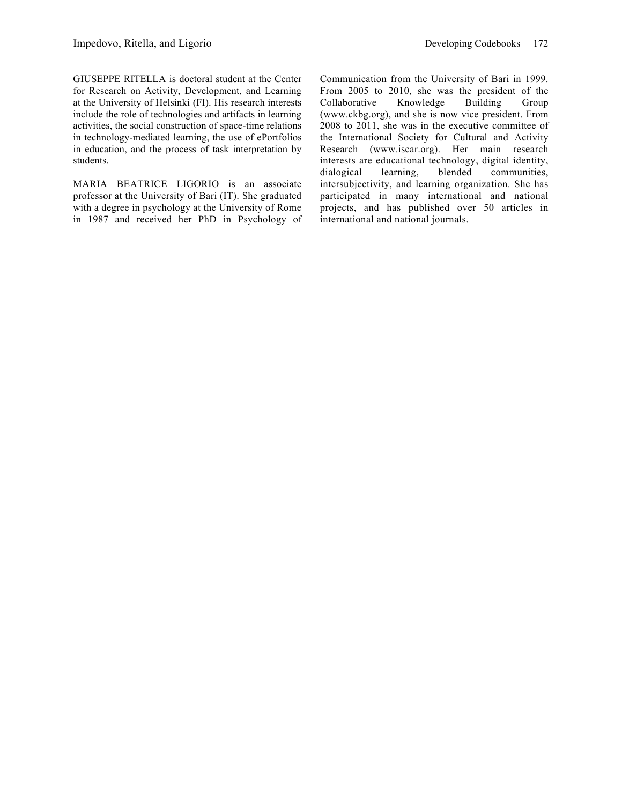GIUSEPPE RITELLA is doctoral student at the Center for Research on Activity, Development, and Learning at the University of Helsinki (FI). His research interests include the role of technologies and artifacts in learning activities, the social construction of space-time relations in technology-mediated learning, the use of ePortfolios in education, and the process of task interpretation by students.

MARIA BEATRICE LIGORIO is an associate professor at the University of Bari (IT). She graduated with a degree in psychology at the University of Rome in 1987 and received her PhD in Psychology of Communication from the University of Bari in 1999. From 2005 to 2010, she was the president of the Collaborative Knowledge Building Group (www.ckbg.org), and she is now vice president. From 2008 to 2011, she was in the executive committee of the International Society for Cultural and Activity Research (www.iscar.org). Her main research interests are educational technology, digital identity, dialogical learning, blended communities, intersubjectivity, and learning organization. She has participated in many international and national projects, and has published over 50 articles in international and national journals.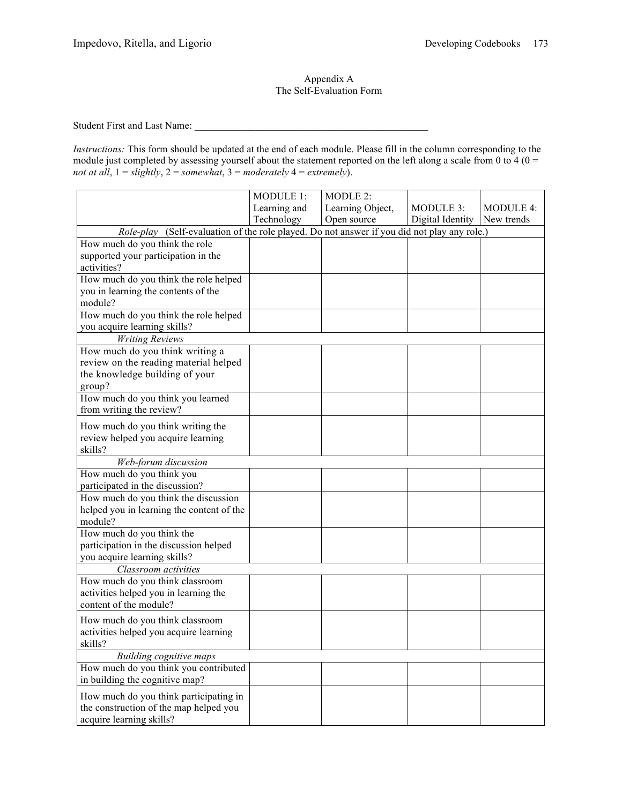# Appendix A The Self-Evaluation Form

Student First and Last Name: \_\_\_\_\_\_\_\_\_\_\_\_\_\_\_\_\_\_\_\_\_\_\_\_\_\_\_\_\_\_\_\_\_\_\_\_\_\_\_\_\_\_\_\_\_\_

*Instructions:* This form should be updated at the end of each module. Please fill in the column corresponding to the module just completed by assessing yourself about the statement reported on the left along a scale from 0 to 4 ( $0 =$ *not at all*, 1 = *slightly*, 2 = *somewhat*, 3 = *moderately* 4 = *extremely*).

|                                                                                             | MODULE 1:    | MODLE 2:         |                  |                  |
|---------------------------------------------------------------------------------------------|--------------|------------------|------------------|------------------|
|                                                                                             | Learning and | Learning Object, | MODULE 3:        | <b>MODULE 4:</b> |
|                                                                                             | Technology   | Open source      | Digital Identity | New trends       |
| Role-play (Self-evaluation of the role played. Do not answer if you did not play any role.) |              |                  |                  |                  |
| How much do you think the role                                                              |              |                  |                  |                  |
| supported your participation in the                                                         |              |                  |                  |                  |
| activities?                                                                                 |              |                  |                  |                  |
| How much do you think the role helped                                                       |              |                  |                  |                  |
| you in learning the contents of the                                                         |              |                  |                  |                  |
| module?                                                                                     |              |                  |                  |                  |
| How much do you think the role helped                                                       |              |                  |                  |                  |
| you acquire learning skills?                                                                |              |                  |                  |                  |
| <b>Writing Reviews</b>                                                                      |              |                  |                  |                  |
| How much do you think writing a                                                             |              |                  |                  |                  |
| review on the reading material helped                                                       |              |                  |                  |                  |
| the knowledge building of your                                                              |              |                  |                  |                  |
| group?                                                                                      |              |                  |                  |                  |
| How much do you think you learned                                                           |              |                  |                  |                  |
| from writing the review?                                                                    |              |                  |                  |                  |
| How much do you think writing the                                                           |              |                  |                  |                  |
| review helped you acquire learning                                                          |              |                  |                  |                  |
| skills?                                                                                     |              |                  |                  |                  |
| Web-forum discussion                                                                        |              |                  |                  |                  |
| How much do you think you                                                                   |              |                  |                  |                  |
| participated in the discussion?                                                             |              |                  |                  |                  |
| How much do you think the discussion                                                        |              |                  |                  |                  |
| helped you in learning the content of the                                                   |              |                  |                  |                  |
| module?                                                                                     |              |                  |                  |                  |
| How much do you think the                                                                   |              |                  |                  |                  |
| participation in the discussion helped                                                      |              |                  |                  |                  |
| you acquire learning skills?                                                                |              |                  |                  |                  |
| Classroom activities                                                                        |              |                  |                  |                  |
| How much do you think classroom                                                             |              |                  |                  |                  |
| activities helped you in learning the                                                       |              |                  |                  |                  |
| content of the module?                                                                      |              |                  |                  |                  |
| How much do you think classroom                                                             |              |                  |                  |                  |
| activities helped you acquire learning                                                      |              |                  |                  |                  |
| skills?                                                                                     |              |                  |                  |                  |
| <b>Building cognitive maps</b>                                                              |              |                  |                  |                  |
| How much do you think you contributed                                                       |              |                  |                  |                  |
| in building the cognitive map?                                                              |              |                  |                  |                  |
| How much do you think participating in                                                      |              |                  |                  |                  |
| the construction of the map helped you                                                      |              |                  |                  |                  |
| acquire learning skills?                                                                    |              |                  |                  |                  |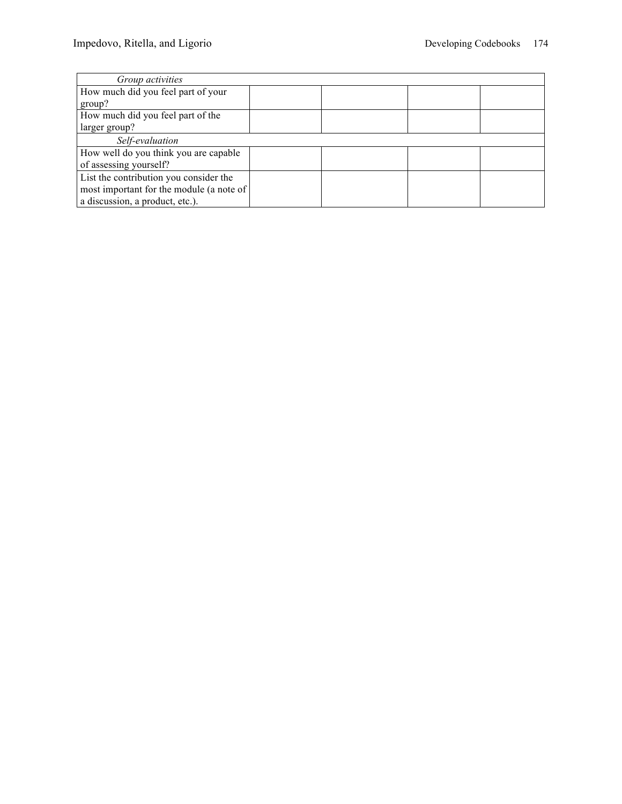| Group activities                         |  |  |
|------------------------------------------|--|--|
| How much did you feel part of your       |  |  |
| group?                                   |  |  |
| How much did you feel part of the        |  |  |
| larger group?                            |  |  |
| Self-evaluation                          |  |  |
| How well do you think you are capable    |  |  |
| of assessing yourself?                   |  |  |
| List the contribution you consider the   |  |  |
| most important for the module (a note of |  |  |
| a discussion, a product, etc.).          |  |  |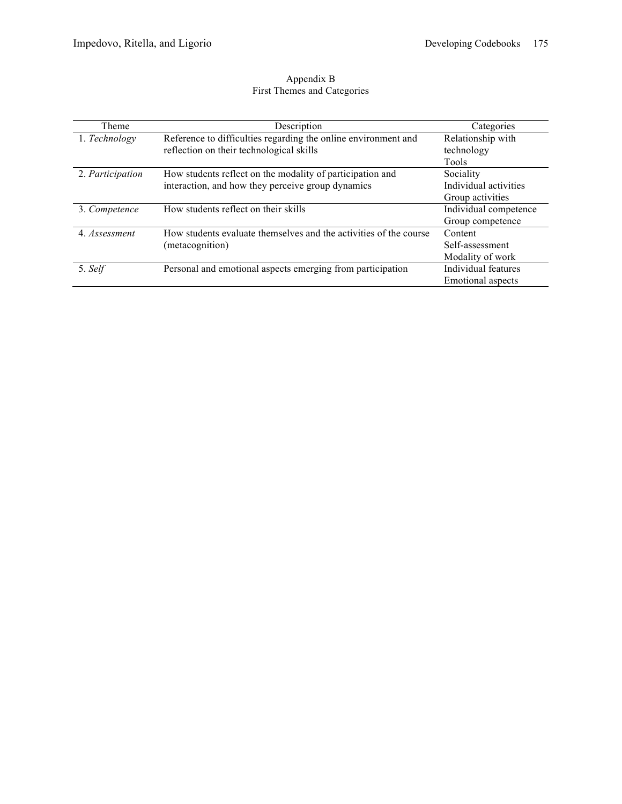### Appendix B First Themes and Categories

| Theme            | Description                                                       | Categories               |
|------------------|-------------------------------------------------------------------|--------------------------|
| 1. Technology    | Reference to difficulties regarding the online environment and    | Relationship with        |
|                  | reflection on their technological skills                          | technology               |
|                  |                                                                   | Tools                    |
| 2. Participation | How students reflect on the modality of participation and         | Sociality                |
|                  | interaction, and how they perceive group dynamics                 | Individual activities    |
|                  |                                                                   | Group activities         |
| 3. Competence    | How students reflect on their skills                              | Individual competence    |
|                  |                                                                   | Group competence         |
| 4. Assessment    | How students evaluate themselves and the activities of the course | Content                  |
|                  | (metacognition)                                                   | Self-assessment          |
|                  |                                                                   | Modality of work         |
| 5. Self          | Personal and emotional aspects emerging from participation        | Individual features      |
|                  |                                                                   | <b>Emotional aspects</b> |